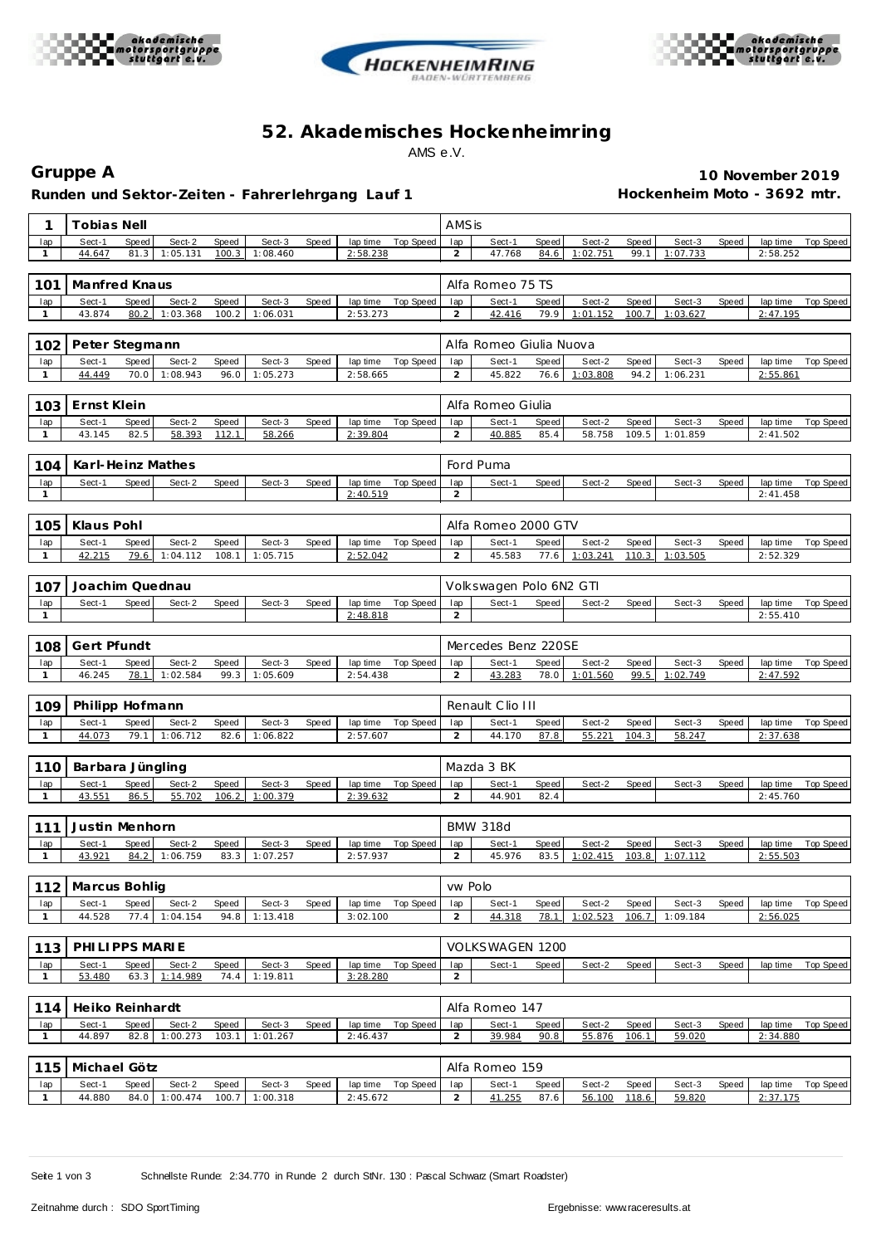





## **52. Akademisches Hockenhe imring** AMS e.V.

Runden und Sektor-Zeiten - Fahrer lehrgang Lauf 1 **Hockenheim Moto - 3692 mtr.** 

**Gruppe A 10 November 2019**

| 1                   | Tobias Nell                       |                    |                |                    |                         |                      |                    |                       | AMSis                   |                   |                    |                |                    |       |                      |                  |  |  |  |
|---------------------|-----------------------------------|--------------------|----------------|--------------------|-------------------------|----------------------|--------------------|-----------------------|-------------------------|-------------------|--------------------|----------------|--------------------|-------|----------------------|------------------|--|--|--|
| lap                 | Sect-1<br>Speed                   | Sect-2             | Speed          | Sect-3             | Speed                   | lap time             | Top Speed          | lap                   | Sect-1                  | Speed             | Sect-2             | Speed          | Sect-3             | Speed | lap time             | Top Speed        |  |  |  |
| 1                   | 44.647<br>81.3                    | 1:05.131           | 100.3          | 1:08.460           |                         | 2:58.238             |                    | 2                     | 47.768                  | 84.6              | 1:02.751           | 99.1           | 1:07.733           |       | 2:58.252             |                  |  |  |  |
|                     |                                   |                    |                |                    |                         |                      |                    |                       |                         |                   |                    |                |                    |       |                      |                  |  |  |  |
| 101                 | Manfred Knaus                     |                    |                |                    |                         |                      |                    |                       | Alfa Romeo 75 TS        |                   |                    |                |                    |       |                      |                  |  |  |  |
| lap                 | Speed<br>Sect-1                   | Sect-2             | Speed          | Sect-3             | Speed                   | lap time             | <b>Top Speed</b>   | lap                   | Sect-1                  | Speed             | Sect-2             | Speed          | Sect-3             | Speed | lap time             | Top Speed        |  |  |  |
| $\mathbf{1}$        | 43.874<br>80.2                    | 1:03.368           | 100.2          | 1:06.031           |                         | 2:53.273             |                    | 2                     | 42.416                  | 79.9              | 1:01.152           | 100.7          | 1:03.627           |       | 2:47.195             |                  |  |  |  |
|                     |                                   |                    |                |                    |                         |                      |                    |                       |                         |                   |                    |                |                    |       |                      |                  |  |  |  |
| 102                 | Peter Stegmann                    |                    |                |                    |                         |                      |                    |                       | Alfa Romeo Giulia Nuova |                   |                    |                |                    |       |                      |                  |  |  |  |
| lap                 | Sect-1<br>Speed                   | Sect-2             | Speed          | Sect-3             | Speed                   | lap time             | Top Speed          | lap                   | Sect-1                  | Speed             | Sect-2             | Speed          | Sect-3             | Speed | lap time             | Top Speed        |  |  |  |
| $\mathbf{1}$        | 44.449<br>70.0                    | 1:08.943           | 96.0           | 1:05.273           |                         | 2:58.665             |                    | $\overline{2}$        | 45.822                  | 76.6              | 1:03.808           | 94.2           | 1:06.231           |       | 2:55.861             |                  |  |  |  |
|                     |                                   |                    |                |                    |                         |                      |                    |                       |                         | Alfa Romeo Giulia |                    |                |                    |       |                      |                  |  |  |  |
| 103                 | Ernst Klein                       |                    |                |                    |                         |                      |                    |                       |                         |                   |                    |                |                    |       |                      |                  |  |  |  |
| lap<br>$\mathbf{1}$ | Sect-1<br>Speed<br>43.145<br>82.5 | Sect-2             | Speed<br>112.1 | Sect-3<br>58.266   | Speed                   | lap time<br>2:39.804 | Top Speed          | lap<br>$\overline{c}$ | Sect-1<br>40.885        | Speed<br>85.4     | Sect-2<br>58.758   | Speed<br>109.5 | Sect-3<br>1:01.859 | Speed | lap time<br>2:41.502 | <b>Top Speed</b> |  |  |  |
|                     |                                   | 58.393             |                |                    |                         |                      |                    |                       |                         |                   |                    |                |                    |       |                      |                  |  |  |  |
|                     |                                   |                    |                |                    |                         |                      |                    |                       | Ford Puma               |                   |                    |                |                    |       |                      |                  |  |  |  |
| 104                 | Karl-Heinz Mathes                 |                    |                |                    |                         |                      |                    |                       |                         |                   |                    |                |                    |       |                      |                  |  |  |  |
| lap<br>$\mathbf{1}$ | Sect-1<br>Speed                   | Sect-2             | Speed          | Sect-3             | Speed                   | lap time<br>2:40.519 | <b>Top Speed</b>   | lap<br>2              | Sect-1                  | Speed             | Sect-2             | Speed          | Sect-3             | Speed | lap time<br>2:41.458 | <b>Top Speed</b> |  |  |  |
|                     |                                   |                    |                |                    |                         |                      |                    |                       |                         |                   |                    |                |                    |       |                      |                  |  |  |  |
|                     | Klaus Pohl                        |                    |                |                    |                         |                      |                    |                       | Alfa Romeo 2000 GTV     |                   |                    |                |                    |       |                      |                  |  |  |  |
| 105                 |                                   |                    |                |                    |                         |                      |                    |                       |                         |                   |                    |                |                    |       |                      |                  |  |  |  |
| lap<br>$\mathbf{1}$ | Sect-1<br>Speed<br>42.215<br>79.6 | Sect-2<br>1:04.112 | Speed<br>108.1 | Sect-3<br>1:05.715 | Speed                   | lap time<br>2:52.042 | <b>Top Speed</b>   | lap<br>$\overline{c}$ | Sect-1<br>45.583        | Speed<br>77.6     | Sect-2<br>1:03.241 | Speed<br>110.3 | Sect-3<br>1:03.505 | Speed | lap time<br>2:52.329 | <b>Top Speed</b> |  |  |  |
|                     |                                   |                    |                |                    |                         |                      |                    |                       |                         |                   |                    |                |                    |       |                      |                  |  |  |  |
| 107                 | Joachim Quednau                   |                    |                |                    | Volkswagen Polo 6N2 GTI |                      |                    |                       |                         |                   |                    |                |                    |       |                      |                  |  |  |  |
|                     |                                   |                    |                |                    |                         |                      |                    |                       |                         |                   |                    |                |                    |       |                      |                  |  |  |  |
| lap<br>$\mathbf{1}$ | Sect-1<br>Speed                   | Sect-2             | Speed          | Sect-3             | Speed                   | lap time<br>2:48.818 | Top Speed          | lap<br>$\overline{a}$ | Sect-1                  | Speed             | Sect-2             | Speed          | Sect-3             | Speed | lap time<br>2:55.410 | Top Speed        |  |  |  |
|                     |                                   |                    |                |                    |                         |                      |                    |                       |                         |                   |                    |                |                    |       |                      |                  |  |  |  |
| 108                 | Gert Pfundt                       |                    |                |                    |                         |                      |                    | Mercedes Benz 220SE   |                         |                   |                    |                |                    |       |                      |                  |  |  |  |
|                     | Sect-1                            | Sect-2             |                | Sect-3             |                         |                      |                    |                       | Sect-1                  |                   | Sect-2             | Speed          | Sect-3             |       | lap time             |                  |  |  |  |
| lap<br>$\mathbf{1}$ | Speed<br>46.245<br>78.1           | 1:02.584           | Speed<br>99.3  | 1:05.609           | Speed                   | lap time<br>2:54.438 | Top Speed          | lap<br>$\overline{a}$ | 43.283                  | Speed<br>78.0     | 1:01.560           | 99.5           | 1:02.749           | Speed | 2:47.592             | Top Speed        |  |  |  |
|                     |                                   |                    |                |                    |                         |                      |                    |                       |                         |                   |                    |                |                    |       |                      |                  |  |  |  |
| 109                 | Philipp Hofmann                   |                    |                |                    |                         |                      |                    |                       | Renault Clio III        |                   |                    |                |                    |       |                      |                  |  |  |  |
| lap                 | Sect-1<br>Speed                   | Sect-2             | Speed          | Sect-3             | Speed                   | lap time             | <b>Top Speed</b>   | lap                   | Sect-1                  | Speed             | Sect-2             | Speed          | Sect-3             | Speed | lap time             | <b>Top Speed</b> |  |  |  |
| $\mathbf{1}$        | 44.073<br>79.1                    | 1:06.712           | 82.6           | 1:06.822           |                         | 2:57.607             |                    | $\overline{a}$        | 44.170                  | 87.8              | 55.221             | 104.3          | 58.247             |       | 2:37.638             |                  |  |  |  |
|                     |                                   |                    |                |                    |                         |                      |                    |                       |                         |                   |                    |                |                    |       |                      |                  |  |  |  |
| 110                 | Barbara Jüngling                  |                    |                |                    |                         |                      |                    | Mazda 3 BK            |                         |                   |                    |                |                    |       |                      |                  |  |  |  |
| lap                 | Sect-1<br>Speed                   | Sect-2             | Speed          | Sect-3             | Speed                   | lap time             | Top Speed          | lap                   | Sect-1                  | Speed             | Sect-2             | Speed          | Sect-3             | Speed | lap time             | <b>Top Speed</b> |  |  |  |
| $\mathbf{1}$        | 43.551<br>86.5                    | 55.702             | 106.2          | 1:00.379           |                         | 2:39.632             |                    | $\overline{2}$        | 44.901                  | 82.4              |                    |                |                    |       | 2:45.760             |                  |  |  |  |
|                     |                                   |                    |                |                    |                         |                      |                    |                       |                         |                   |                    |                |                    |       |                      |                  |  |  |  |
| 111                 | Justin Menhorn                    |                    |                |                    |                         |                      |                    | <b>BMW 318d</b>       |                         |                   |                    |                |                    |       |                      |                  |  |  |  |
| lap                 | Sect-1<br>Speed                   | Sect-2             | Speed          | Sect-3             | Speed                   | lap time             | <b>Top Speed</b>   | lap                   | Sect-1                  | Speed             | Sect-2             | Speed          | Sect-3             | Speed | lap time             | Top Speed        |  |  |  |
| $\mathbf{1}$        | 43.921<br>84.2                    | 1:06.759           | 83.3           | 1:07.257           |                         | 2:57.937             |                    | $\overline{c}$        | 45.976                  | 83.5              | 1:02.415           | 103.8          | 1:07.112           |       | 2:55.503             |                  |  |  |  |
|                     |                                   |                    |                |                    |                         |                      |                    |                       |                         |                   |                    |                |                    |       |                      |                  |  |  |  |
| 112                 | Marcus Bohlig                     |                    |                |                    |                         |                      |                    | vw Polo               |                         |                   |                    |                |                    |       |                      |                  |  |  |  |
| lap                 | Sect-1<br>Speed                   | Sect-2             | Speed          | Sect-3             | Speed                   |                      | lap time Top Speed | lap                   | Sect-1                  | Speed             | Sect-2             | Speed          | Sect-3             | Speed | lap time             | Top Speed        |  |  |  |
| $\mathbf{1}$        | 44.528<br>77.4                    | 1:04.154           | 94.8           | 1:13.418           |                         | 3:02.100             |                    | $\overline{a}$        | 44.318                  | 78.1              | 1:02.523           | 106.7          | 1:09.184           |       | 2:56.025             |                  |  |  |  |
|                     |                                   |                    |                |                    |                         |                      |                    |                       |                         |                   |                    |                |                    |       |                      |                  |  |  |  |
| 113                 | PHILIPPS MARIE                    |                    |                |                    |                         |                      |                    |                       | VOLKSWAGEN 1200         |                   |                    |                |                    |       |                      |                  |  |  |  |
| lap                 | Speed<br>Sect-1                   | Sect-2             | Speed          | Sect-3             | Speed                   | lap time             | Top Speed          | lap                   | Sect-1                  | Speed             | Sect-2             | Speed          | Sect-3             | Speed | lap time             | Top Speed        |  |  |  |
| $\mathbf{1}$        | 63.3<br>53.480                    | 1:14.989           | 74.4           | 1:19.811           |                         | 3:28.280             |                    | $\overline{a}$        |                         |                   |                    |                |                    |       |                      |                  |  |  |  |
|                     |                                   |                    |                |                    |                         |                      |                    |                       |                         |                   |                    |                |                    |       |                      |                  |  |  |  |
| 114                 | Heiko Reinhardt                   |                    |                |                    |                         |                      |                    |                       | Alfa Romeo 147          |                   |                    |                |                    |       |                      |                  |  |  |  |
| lap                 | Sect-1<br>Speed                   | Sect-2             | Speed          | Sect-3             | Speed                   | lap time             | Top Speed          | lap                   | Sect-1                  | Speed             | Sect-2             | Speed          | Sect-3             | Speed | lap time             | Top Speed        |  |  |  |
| $\mathbf{1}$        | 44.897<br>82.8                    | 1:00.273           | 103.1          | 1:01.267           |                         | 2:46.437             |                    | $\overline{c}$        | 39.984                  | 90.8              | 55.876             | 106.1          | 59.020             |       | 2:34.880             |                  |  |  |  |
|                     |                                   |                    |                |                    |                         |                      |                    |                       |                         |                   |                    |                |                    |       |                      |                  |  |  |  |
| 115                 | Michael Götz                      |                    |                |                    |                         |                      |                    |                       | Alfa Romeo 159          |                   |                    |                |                    |       |                      |                  |  |  |  |
| lap                 | Sect-1<br>Speed                   | Sect-2             | Speed          | Sect-3             | Speed                   |                      | lap time Top Speed | lap                   | Sect-1                  | Speed             | Sect-2             | Speed          | Sect-3             | Speed | lap time             | Top Speed        |  |  |  |
| $\mathbf{1}$        | 44.880                            | 84.0 1:00.474      |                | 100.7 1:00.318     |                         | 2:45.672             |                    | $\overline{2}$        | 41.255                  | 87.6              | 56.100             | 118.6          | 59.820             |       | 2:37.175             |                  |  |  |  |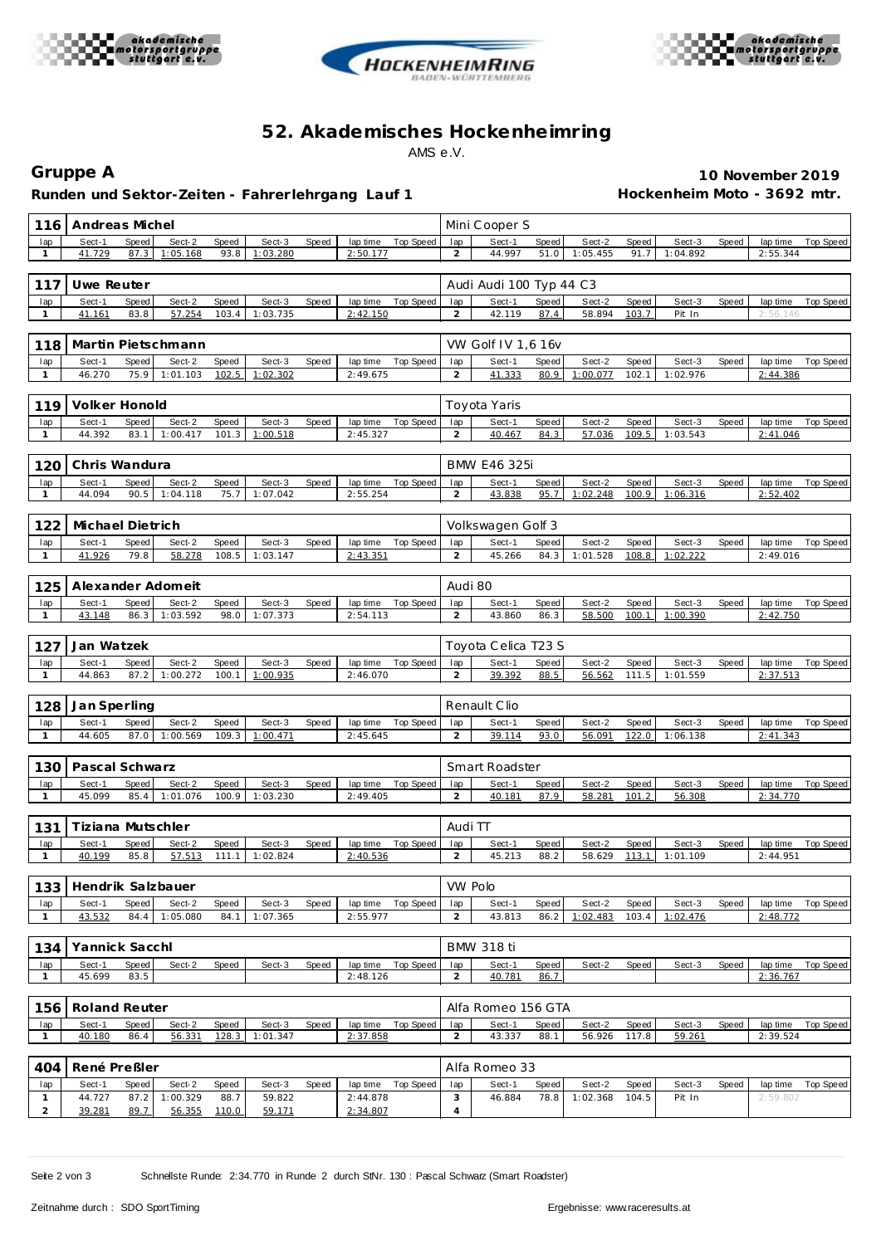





## **52. Akademisches Hockenhe imring** AMS e.V.

**Runden und Sektor-Zeiten - Fahrer lehrgang Lauf 1 Hockenheim Moto - 3692 mtr.**

**Gruppe A 10 November 2019**

| 116                 | Andreas Michel           |               |                  |                |                    |       |                      |                    |                       | Mini Cooper S           |               |                    |                |                    |       |                      |                  |  |  |  |  |
|---------------------|--------------------------|---------------|------------------|----------------|--------------------|-------|----------------------|--------------------|-----------------------|-------------------------|---------------|--------------------|----------------|--------------------|-------|----------------------|------------------|--|--|--|--|
| lap                 | Sect-1                   | Speed         | Sect-2           | Speed          | Sect-3             | Speed | lap time             | Top Speed          | lap                   | Sect-1                  | Speed         | Sect-2             | Speed          | Sect-3             | Speed | lap time             | <b>Top Speed</b> |  |  |  |  |
| $\mathbf{1}$        | 41.729                   | 87.3          | 1:05.168         | 93.8           | 1:03.280           |       | 2:50.177             |                    | $\overline{a}$        | 44.997                  | 51.0          | 1:05.455           | 91.7           | 1:04.892           |       | 2:55.344             |                  |  |  |  |  |
| 117                 | Uwe Reuter               |               |                  |                |                    |       |                      |                    |                       | Audi Audi 100 Typ 44 C3 |               |                    |                |                    |       |                      |                  |  |  |  |  |
| lap                 | Sect-1                   | Speed         | Sect-2           | Speed          | Sect-3             | Speed | lap time             | <b>Top Speed</b>   | lap                   | Sect-1                  | Speed         | Sect-2             | Speed          | Sect-3             | Speed | lap time             | <b>Top Speed</b> |  |  |  |  |
| $\mathbf{1}$        | 41.161                   | 83.8          | 57.254           | 103.4          | 1:03.735           |       | 2:42.150             |                    | $\overline{a}$        | 42.119                  | 87.4          | 58.894             | 103.7          | Pit In             |       | 2:56.146             |                  |  |  |  |  |
|                     |                          |               |                  |                |                    |       |                      |                    |                       |                         |               |                    |                |                    |       |                      |                  |  |  |  |  |
| 118                 | Martin Pietschmann       |               |                  |                |                    |       |                      |                    | VW Golf IV 1,6 16v    |                         |               |                    |                |                    |       |                      |                  |  |  |  |  |
| lap                 | Sect-1                   | Speed         | Sect-2           | Speed          | Sect-3             | Speed | lap time             | Top Speed          | lap                   | Sect-1                  | Speed         | Sect-2             | Speed          | Sect-3             | Speed | lap time             | <b>Top Speed</b> |  |  |  |  |
| $\mathbf{1}$        | 46.270                   | 75.9          | 1:01.103         | 102.5          | 1:02.302           |       | 2:49.675             |                    | $\overline{2}$        | 41.333                  | 80.9          | 1:00.077           | 102.1          | 1:02.976           |       | 2:44.386             |                  |  |  |  |  |
| 119                 | Volker Honold            |               |                  |                |                    |       |                      |                    |                       | Toyota Yaris            |               |                    |                |                    |       |                      |                  |  |  |  |  |
| lap                 | Sect-1                   | Speed         | Sect-2           | Speed          | Sect-3             | Speed | lap time             | Top Speed          | lap                   | Sect-1                  | Speed         | Sect-2             | Speed          | Sect-3             | Speed | lap time             | Top Speed        |  |  |  |  |
| $\mathbf{1}$        | 44.392                   | 83.1          | 1:00.417         | 101.3          | 1:00.518           |       | 2:45.327             |                    | $\overline{a}$        | 40.467                  | 84.3          | 57.036             | 109.5          | 1:03.543           |       | 2:41.046             |                  |  |  |  |  |
|                     |                          |               |                  |                |                    |       |                      |                    |                       |                         |               |                    |                |                    |       |                      |                  |  |  |  |  |
| 120                 | Chris Wandura            |               |                  |                |                    |       |                      |                    |                       | <b>BMW E46 325i</b>     |               |                    |                |                    |       |                      |                  |  |  |  |  |
| lap                 | Sect-1                   | Speed         | Sect-2           | Speed          | Sect-3             | Speed | lap time             | <b>Top Speed</b>   | lap                   | Sect-1                  | Speed         | Sect-2             | Speed          | Sect-3             | Speed | lap time             | Top Speed        |  |  |  |  |
| $\mathbf{1}$        | 44.094                   | 90.5          | 1:04.118         | 75.7           | 1:07.042           |       | 2:55.254             |                    | $\overline{a}$        | 43.838                  | 95.7          | 1:02.248           | 100.9          | 1:06.316           |       | 2:52.402             |                  |  |  |  |  |
|                     |                          |               |                  |                |                    |       |                      |                    |                       |                         |               |                    |                |                    |       |                      |                  |  |  |  |  |
| 122                 | Michael Dietrich         |               |                  |                |                    |       |                      |                    |                       | Volkswagen Golf 3       |               |                    |                |                    |       |                      |                  |  |  |  |  |
| lap<br>$\mathbf{1}$ | Sect-1<br>41.926         | Speed<br>79.8 | Sect-2<br>58.278 | Speed<br>108.5 | Sect-3<br>1:03.147 | Speed | lap time<br>2:43.351 | Top Speed          | lap<br>$\overline{a}$ | Sect-1<br>45.266        | Speed<br>84.3 | Sect-2<br>1:01.528 | Speed<br>108.8 | Sect-3<br>1:02.222 | Speed | lap time<br>2:49.016 | <b>Top Speed</b> |  |  |  |  |
|                     |                          |               |                  |                |                    |       |                      |                    |                       |                         |               |                    |                |                    |       |                      |                  |  |  |  |  |
|                     | Alexander Adomeit<br>125 |               |                  |                |                    |       |                      |                    |                       |                         | Audi 80       |                    |                |                    |       |                      |                  |  |  |  |  |
| lap                 | Sect-1                   | Speed         | Sect-2           | Speed          | Sect-3             | Speed | lap time             | <b>Top Speed</b>   | lap                   | Sect-1                  | Speed         | Sect-2             | Speed          | Sect-3             | Speed | lap time             | <b>Top Speed</b> |  |  |  |  |
| $\mathbf{1}$        | 43.148                   | 86.3          | 1:03.592         | 98.0           | 1:07.373           |       | 2:54.113             |                    | 2                     | 43.860                  | 86.3          | 58.500             | 100.1          | 1:00.390           |       | 2:42.750             |                  |  |  |  |  |
|                     |                          |               |                  |                |                    |       |                      |                    |                       |                         |               |                    |                |                    |       |                      |                  |  |  |  |  |
| 127                 | Jan Watzek               |               |                  |                |                    |       |                      |                    | Toyota Celica T23 S   |                         |               |                    |                |                    |       |                      |                  |  |  |  |  |
| lap                 | Sect-1                   | Speed         | Sect-2           | Speed          | Sect-3             | Speed | lap time             | Top Speed          | lap                   | Sect-1                  | Speed         | Sect-2             | Speed          | Sect-3             | Speed | lap time             | <b>Top Speed</b> |  |  |  |  |
| $\mathbf{1}$        | 44.863                   | 87.2          | 1:00.272         | 100.1          | 1:00.935           |       | 2:46.070             |                    | 2                     | 39.392                  | 88.5          | 56.562             | 111.5          | 1:01.559           |       | 2:37.513             |                  |  |  |  |  |
| 128                 | Jan Sperling             |               |                  |                |                    |       |                      |                    |                       | Renault Clio            |               |                    |                |                    |       |                      |                  |  |  |  |  |
| lap                 | Sect-1                   | Speed         | Sect-2           | Speed          | Sect-3             | Speed | lap time             | Top Speed          | lap                   | Sect-1                  | Speed         | Sect-2             | Speed          | Sect-3             | Speed | lap time             | Top Speed        |  |  |  |  |
| $\mathbf{1}$        | 44.605                   | 87.0          | 1:00.569         | 109.3          | 1:00.471           |       | 2:45.645             |                    | $\overline{2}$        | 39.114                  | 93.0          | 56.091             | 122.0          | 1:06.138           |       | 2:41.343             |                  |  |  |  |  |
|                     |                          |               |                  |                |                    |       |                      |                    |                       |                         |               |                    |                |                    |       |                      |                  |  |  |  |  |
| 130                 | Pascal Schwarz           |               |                  |                |                    |       |                      |                    | Smart Roadster        |                         |               |                    |                |                    |       |                      |                  |  |  |  |  |
| lap                 | Sect-1                   | Speed         | Sect-2           | Speed          | Sect-3             | Speed | lap time             | Top Speed          | lap                   | Sect-1                  | Speed         | Sect-2             | Speed          | Sect-3             | Speed | lap time             | Top Speed        |  |  |  |  |
| $\mathbf{1}$        | 45.099                   | 85.4          | 1:01.076         | 100.9          | 1:03.230           |       | 2:49.405             |                    | $\overline{a}$        | 40.181                  | 87.9          | 58.281             | 101.2          | 56.308             |       | 2:34.770             |                  |  |  |  |  |
|                     |                          |               |                  |                |                    |       |                      |                    |                       |                         |               |                    |                |                    |       |                      |                  |  |  |  |  |
| 131                 | Tiziana Mutschler        |               |                  |                |                    |       |                      |                    | Audi TT               |                         |               |                    |                |                    |       |                      |                  |  |  |  |  |
| lap<br>$\mathbf{1}$ | Sect-1<br>40.199         | Speed<br>85.8 | Sect-2<br>57.513 | Speed<br>111.1 | Sect-3<br>1:02.824 | Speed | lap time<br>2:40.536 | <b>Top Speed</b>   | lap<br>$\overline{c}$ | Sect-1<br>45.213        | Speed<br>88.2 | Sect-2<br>58.629   | Speed<br>113.1 | Sect-3<br>1:01.109 | Speed | lap time<br>2:44.951 | Top Speed        |  |  |  |  |
|                     |                          |               |                  |                |                    |       |                      |                    |                       |                         |               |                    |                |                    |       |                      |                  |  |  |  |  |
| 133                 | Hendrik Salzbauer        |               |                  |                |                    |       |                      |                    | VW Polo               |                         |               |                    |                |                    |       |                      |                  |  |  |  |  |
| lap                 | Sect-1                   | Speed         | Sect-2           | Speed          | Sect-3             | Speed | lap time             | Top Speed          | lap                   | Sect-1                  | Speed         | Sect-2             | Speed          | Sect-3             | Speed | lap time             | <b>Top Speed</b> |  |  |  |  |
| $\mathbf{1}$        | 43.532                   | 84.4          | 1:05.080         | 84.1           | 1:07.365           |       | 2:55.977             |                    | $\overline{2}$        | 43.813                  | 86.2          | 1:02.483           | 103.4          | 1:02.476           |       | 2:48.772             |                  |  |  |  |  |
|                     |                          |               |                  |                |                    |       |                      |                    |                       |                         |               |                    |                |                    |       |                      |                  |  |  |  |  |
| 134                 | Yannick Sacchl           |               |                  |                |                    |       |                      |                    | BMW 318 ti            |                         |               |                    |                |                    |       |                      |                  |  |  |  |  |
| lap                 | Sect-1                   | Speed         | Sect-2           | Speed          | Sect-3             | Speed | lap time             | Top Speed          | lap                   | Sect-1                  | Speed         | Sect-2             | Speed          | Sect-3             | Speed | lap time             | Top Speed        |  |  |  |  |
| $\mathbf{1}$        | 45.699                   | 83.5          |                  |                |                    |       | 2:48.126             |                    | $\overline{2}$        | 40.781                  | 86.7          |                    |                |                    |       | 2:36.767             |                  |  |  |  |  |
|                     |                          |               |                  |                |                    |       |                      |                    |                       |                         |               |                    |                |                    |       |                      |                  |  |  |  |  |
| 156                 | Roland Reuter            |               |                  |                |                    |       |                      |                    |                       | Alfa Romeo 156 GTA      |               |                    |                |                    |       |                      |                  |  |  |  |  |
| lap<br>$\mathbf{1}$ | Sect-1<br>40.180         | Speed<br>86.4 | Sect-2<br>56.331 | Speed<br>128.3 | Sect-3<br>1:01.347 | Speed | 2:37.858             | lap time Top Speed | lap<br>$\overline{2}$ | Sect-1<br>43.337        | Speed<br>88.1 | Sect-2<br>56.926   | Speed<br>117.8 | Sect-3<br>59.261   | Speed | lap time<br>2:39.524 | Top Speed        |  |  |  |  |
|                     |                          |               |                  |                |                    |       |                      |                    |                       |                         |               |                    |                |                    |       |                      |                  |  |  |  |  |
| René Preßler<br>404 |                          |               |                  |                |                    |       |                      | Alfa Romeo 33      |                       |                         |               |                    |                |                    |       |                      |                  |  |  |  |  |
| lap                 | Sect-1                   | Speed         | Sect-2           | Speed          | Sect-3             | Speed | lap time             | Top Speed          | lap                   | Sect-1                  | Speed         | Sect-2             | Speed          | Sect-3             | Speed | lap time             | <b>Top Speed</b> |  |  |  |  |
| $\mathbf{1}$        | 44.727                   | 87.2          | 1:00.329         | 88.7           | 59.822             |       | 2:44.878             |                    | 3                     | 46.884                  | 78.8          | 1:02.368           | 104.5          | Pit In             |       | 2:59.802             |                  |  |  |  |  |
|                     | 39.281                   | 89.7          | 56.355           | 110.0          | 59.171             |       | 2:34.807             |                    | 4                     |                         |               |                    |                |                    |       |                      |                  |  |  |  |  |

Seite 2 von 3 Schnellste Runde: 2:34.770 in Runde 2 durch StNr. 130 : Pascal Schwarz (Smart Roadster)